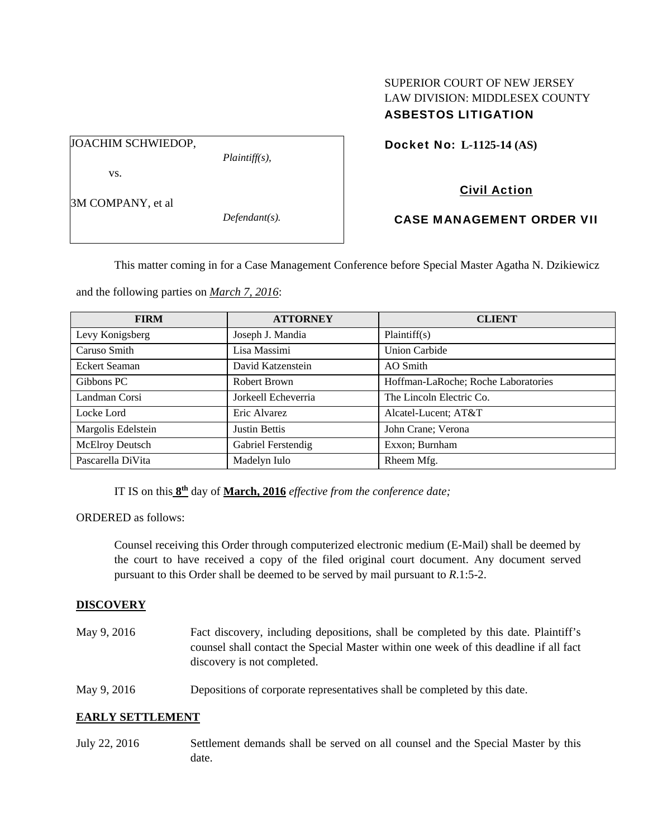### SUPERIOR COURT OF NEW JERSEY LAW DIVISION: MIDDLESEX COUNTY ASBESTOS LITIGATION

JOACHIM SCHWIEDOP,

*Plaintiff(s),* 

Docket No: **L-1125-14 (AS)** 

# Civil Action

3M COMPANY, et al

vs.

*Defendant(s).* 

CASE MANAGEMENT ORDER VII

This matter coming in for a Case Management Conference before Special Master Agatha N. Dzikiewicz

and the following parties on *March 7, 2016*:

| <b>FIRM</b>          | <b>ATTORNEY</b>      | <b>CLIENT</b>                       |
|----------------------|----------------------|-------------------------------------|
| Levy Konigsberg      | Joseph J. Mandia     | Plaintiff(s)                        |
| Caruso Smith         | Lisa Massimi         | <b>Union Carbide</b>                |
| <b>Eckert Seaman</b> | David Katzenstein    | AO Smith                            |
| Gibbons PC           | Robert Brown         | Hoffman-LaRoche; Roche Laboratories |
| Landman Corsi        | Jorkeell Echeverria  | The Lincoln Electric Co.            |
| Locke Lord           | Eric Alvarez         | Alcatel-Lucent; AT&T                |
| Margolis Edelstein   | <b>Justin Bettis</b> | John Crane; Verona                  |
| McElroy Deutsch      | Gabriel Ferstendig   | Exxon; Burnham                      |
| Pascarella DiVita    | Madelyn Iulo         | Rheem Mfg.                          |

IT IS on this **8th** day of **March, 2016** *effective from the conference date;*

ORDERED as follows:

Counsel receiving this Order through computerized electronic medium (E-Mail) shall be deemed by the court to have received a copy of the filed original court document. Any document served pursuant to this Order shall be deemed to be served by mail pursuant to *R*.1:5-2.

## **DISCOVERY**

- May 9, 2016 Fact discovery, including depositions, shall be completed by this date. Plaintiff's counsel shall contact the Special Master within one week of this deadline if all fact discovery is not completed.
- May 9, 2016 Depositions of corporate representatives shall be completed by this date.

### **EARLY SETTLEMENT**

July 22, 2016 Settlement demands shall be served on all counsel and the Special Master by this date.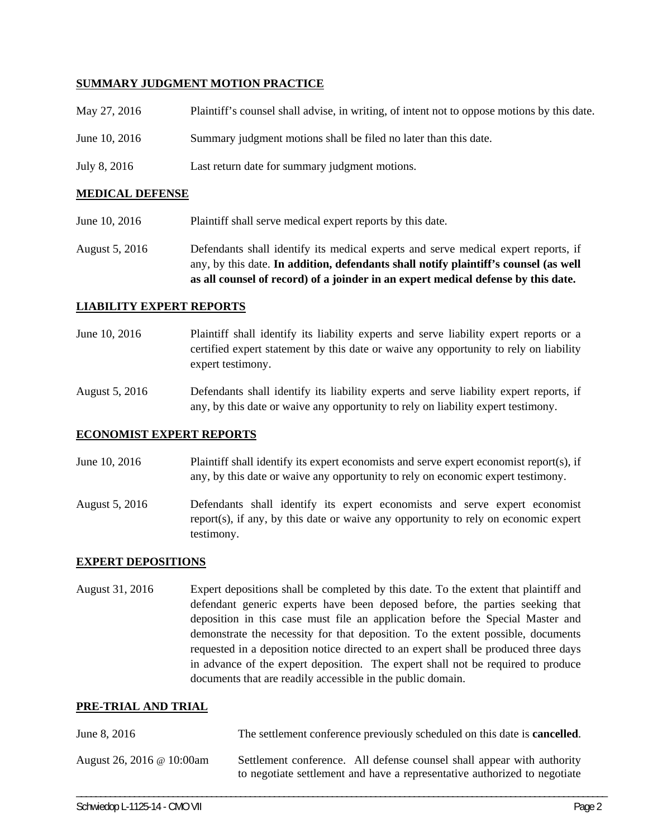### **SUMMARY JUDGMENT MOTION PRACTICE**

| May 27, 2016  | Plaintiff's counsel shall advise, in writing, of intent not to oppose motions by this date. |
|---------------|---------------------------------------------------------------------------------------------|
| June 10, 2016 | Summary judgment motions shall be filed no later than this date.                            |
| July 8, 2016  | Last return date for summary judgment motions.                                              |

#### **MEDICAL DEFENSE**

- June 10, 2016 Plaintiff shall serve medical expert reports by this date.
- August 5, 2016 Defendants shall identify its medical experts and serve medical expert reports, if any, by this date. **In addition, defendants shall notify plaintiff's counsel (as well as all counsel of record) of a joinder in an expert medical defense by this date.**

#### **LIABILITY EXPERT REPORTS**

- June 10, 2016 Plaintiff shall identify its liability experts and serve liability expert reports or a certified expert statement by this date or waive any opportunity to rely on liability expert testimony.
- August 5, 2016 Defendants shall identify its liability experts and serve liability expert reports, if any, by this date or waive any opportunity to rely on liability expert testimony.

#### **ECONOMIST EXPERT REPORTS**

- June 10, 2016 Plaintiff shall identify its expert economists and serve expert economist report(s), if any, by this date or waive any opportunity to rely on economic expert testimony.
- August 5, 2016 Defendants shall identify its expert economists and serve expert economist report(s), if any, by this date or waive any opportunity to rely on economic expert testimony.

#### **EXPERT DEPOSITIONS**

August 31, 2016 Expert depositions shall be completed by this date. To the extent that plaintiff and defendant generic experts have been deposed before, the parties seeking that deposition in this case must file an application before the Special Master and demonstrate the necessity for that deposition. To the extent possible, documents requested in a deposition notice directed to an expert shall be produced three days in advance of the expert deposition. The expert shall not be required to produce documents that are readily accessible in the public domain.

#### **PRE-TRIAL AND TRIAL**

| June 8, 2016              | The settlement conference previously scheduled on this date is <b>cancelled</b> .                                                                   |
|---------------------------|-----------------------------------------------------------------------------------------------------------------------------------------------------|
| August 26, 2016 @ 10:00am | Settlement conference. All defense counsel shall appear with authority<br>to negotiate settlement and have a representative authorized to negotiate |

\_\_\_\_\_\_\_\_\_\_\_\_\_\_\_\_\_\_\_\_\_\_\_\_\_\_\_\_\_\_\_\_\_\_\_\_\_\_\_\_\_\_\_\_\_\_\_\_\_\_\_\_\_\_\_\_\_\_\_\_\_\_\_\_\_\_\_\_\_\_\_\_\_\_\_\_\_\_\_\_\_\_\_\_\_\_\_\_\_\_\_\_\_\_\_\_\_\_\_\_\_\_\_\_\_\_\_\_\_\_